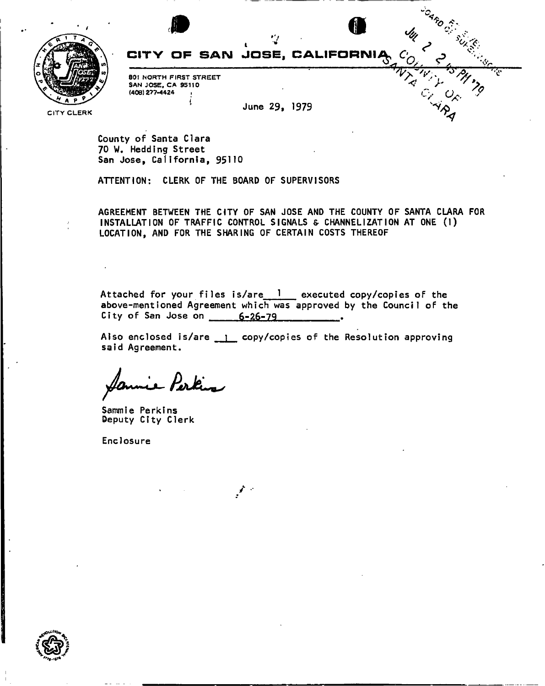

# **Saro Sideling Strategy** IF SAN JOSE, CALIFORNIĄ

**80! NORTH FIRST STREET SAN JOSE, CA 95110 (408) 277-4424** 

**June 29, 1979** 

**CITY CLERK** 

County of Santa Clara 70 W. Hedding Street San Jose, California, 95110

ATTENTION: CLERK OF THE BOARD OF SUPERVISORS

AGREEMENT BETWEEN THE CITY OF SAN JOSE AND THE COUNTY OF SANTA CLARA FOR INSTALLATION OF TRAFFIC CONTROL SIGNALS & CHANNELIZATION AT ONE (1) LOCATION, AND FOR THE SHARING OF CERTAIN COSTS THEREOF

Attached for your files is/are 1 executed copy/copies of the above-mentioned Agreement which was approved by the Council of the City of San Jose on  $6-26-79$ 

Also enclosed is/are 1 copy/copies of the Resolution approving said Agreement.

- Perkis

Sammie Perkins Deputy City Clerk

Enclosure

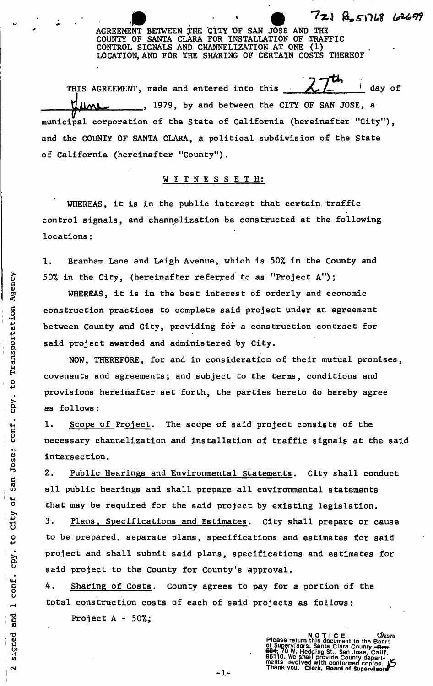AGREEMENT BETWEEN THE CITY OF SAN JOSE AND THE **COUNTY OF SANTA CLARA FOR INSTALLATION OF TRAFFIC CONTROL SIGNALS AND CHANNELIZATION AT ONE (1) LOCATION, AND FOR THE SHARING OF CERTAIN COSTS THEREOF** 

72.1 Res1768 62679

7 *-ftl \** • day of THIS AGREEMENT, made and entered into this  $\mathbf{J}_{\text{in}}$  and entered into the this A—  $\mathbf{J}_{\text{in}}$  and the this A—  $\mathbf{J}_{\text{in}}$  $\int_{a}^{\infty}$ municipal corporation of the State of California (hereinafter "City"), and the COUNTY OF SANTA CLARA, a political subdivision of the State of California (hereinafter "County").

# **WITNESSETH :**

WHEREAS, it is in the public interest that certain traffic control signals, and channelization be constructed at the following locations:

1. Branham Lane and Leigh Avenue, which is 50% in the County and 50% in the City, (hereinafter referred to as "Project A");

**WHEREAS, it is in the best interest of orderly and economic construction practices to complete said project under an agreement between County and City, providing for a construction contract for said project awarded and administered by City.** 

**NOW, THEREFORE,** for and in consideration of their mutual promises, covenants and agreements; and subject to the terms, conditions and provisions hereinafter set forth, the parties hereto do hereby agree as follows:

**1. Scope of Project. The scope of said project consists of the necessary channelization and installation of traffic signals at the said intersection.** 

2. Public Hearings and Environmental Statements. City shall conduct all public hearings and shall prepare all environmental statements that may be required for the said project by existing legislation.

3. Plans, Specifications and Estimates. City shall prepare or cause **to be prepared, separate plans, specifications and estimates for said project and shall submit said plans, specifications and estimates for said project to the County for County's approval.** 

4. Sharing of Costs. County agrees to pay for a portion of the total construction costs of each of said projects as follows:

Project A - 50%;

Transportation Agency

۔<br>0ب

cpy.

San Jose; conf.

t<br>O

to City

cpy.

conf.

 $\blacksquare$ 

and

signed

NOTICE <sup>32576</sup><br>Please return this document to the Board of Supervisors, Santa Clara County, <del>Rangel</del><br>624, 70 W. Hedding St., San Jose, Cailf.<br>624, 70 W. Hedding St., San Jose, Cailf.<br>ments involved with contormed copies.<br>Thank you. Clerk, Board of Supervisors

 $-1-$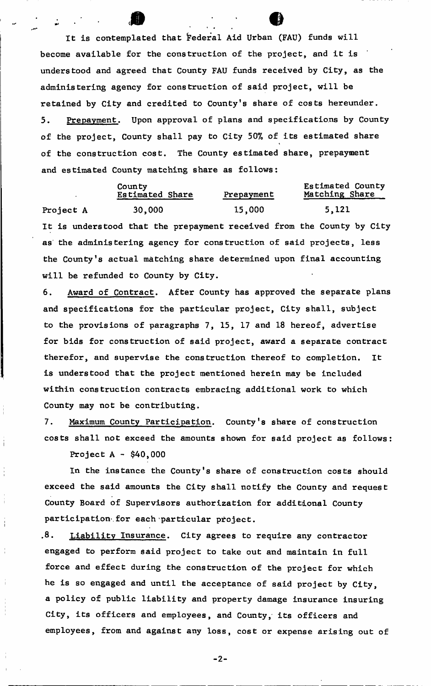It is contemplated that federal Aid  $\sqrt{2}$ become available for the construction of the project, and it is understood and agreed that County FAU funds received by City, as the administering agency for construction of said project, will be retained by City and credited to County's share of costs hereunder. 5. Prepayment. Upon approval of plans and specifications by County of the project, County shall pay to City 50% of its estimated share of the construction cost. The County estimated share, prepayment and estimated County matching share as follows:

ff>*<sup>m</sup>*

County<br>
Estimated Share Prepayment Matching Share Estimated Share Project A 30,000 15,000 5,121 It is understood that the prepayment received from the County by City as the administering agency for construction of said projects, less the County's actual matching share determined upon final accounting will be refunded to County by City.

6. Award of Contract. After County has approved the separate plans and specifications for the particular project, City shall, subject to the provisions of paragraphs 7, 15, 17 and 18 hereof, advertise for bids for construction of said project, award a separate contract therefor, and supervise the construction thereof to completion. It is understood that the project mentioned herein may be included within construction contracts embracing additional work to which County may not be contributing.

7. Maximum County Participation. County's share of construction costs shall not exceed the amounts shown for said project as follows:

Project  $A - $40,000$ 

In the instance the County's share of construction costs should exceed the said amounts the City shall notify the County and request County Board of Supervisors authorization for additional County participation for each particular project.

.8. Liability Insurance. City agrees to require any contractor engaged to perform said project to take out and maintain in full force and effect during the construction of the project for which he is so engaged and until the acceptance of said project by City, a policy of public liability and property damage insurance insuring City, its officers and employees, and County, its officers and employees, from and  $\alpha$  and  $\alpha$  arise arise arise arise arise arise arise arise arise arise arise arise arise arise arise arise arise arise arise arise arise arise arise arise arise arise arise arise arise arise arise arise arise arise ari

 $-2-$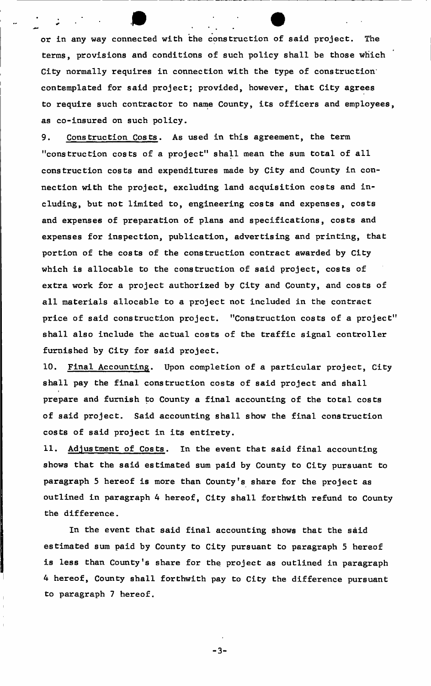**or in any way connected with the construction of said project. The terms, provisions and conditions of such policy shall be those which City normally requires in connection with the type of construction" contemplated for said project; provided, however, that City agrees to require such contractor to name County, its officers and employees, as co-insured on such policy.** 

9. Construction Costs. As used in this agreement, the term "construction costs of a project" shall mean the sum total of all construction costs and expenditures made by City and County in connection with the project, excluding land acquisition costs and including, but not limited to, engineering costs and expenses, costs and expenses of preparation of plans and specifications, costs and expenses for inspection, publication, advertising and printing, that portion of the costs of the construction contract awarded by City which is allocable to the construction of said project, costs of extra work for a project authorized by City and County, and costs of all materials allocable to a project not included in the contract price of said construction project. "Construction costs of a project" shall also include the actual costs of the traffic signal controller furnished by City for said project.

10. Final Accounting. Upon completion of a particular project, City shall pay the final construction costs of said project and shall prepare and furnish to County a final accounting of the total costs of said project. Said accounting shall show the final construction costs of said project in its entirety.

11. Adjustment of Costs. In the event that said final accounting shows that the said estimated sum paid by County to City pursuant to paragraph 5 hereof is more than County's share for the project as outlined in paragraph 4 hereof, City shall forthwith refund to County the difference.

In the event that said final accounting shows that the said estimated sum paid by County to City pursuant to paragraph 5 hereof is less than County's share for the project as outlined in paragraph 4 hereof, County shall forthwith pay to City the difference pursuant to paragraph 7 hereof.

 $- 3 -$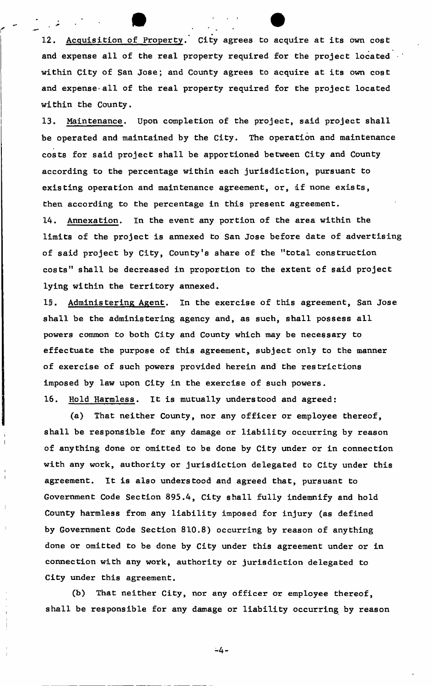12. Acquisition of Property. City agrees to acquire at its own cost and expense all of the real property required for the project located within City of San Jose; and County agrees to acquire at its own cost and expense-all of the real property required for the project located within the County.

13. Maintenance. Upon completion of the project, said project shall be operated and maintained by the City. The operation and maintenance costs for said project shall be apportioned between City and County according to the percentage within each jurisdiction, pursuant to existing operation and maintenance agreement, or, if none exists, then according to the percentage in this present agreement. 14. Annexation. In the event any portion of the area within the

limits of the project is annexed to San Jose before date of advertising of said project by City, County's share of the "total construction costs" shall be decreased in proportion to the extent of said project lying within the territory annexed.

15. Administering Agent. In the exercise of this agreement, San Jose shall be the administering agency and, as such, shall possess all powers common to both City and County which may be necessary to effectuate the purpose of this agreement, subject only to the manner of exercise of such powers provided herein and the restrictions imposed by law upon City in the exercise of such powers. 16. Hold Harmless. It is mutually understood and agreed:

**(a) That neither County, nor any officer or employee thereof, shall be responsible for any damage or liability occurring by reason of anything done or omitted to be done by City under or in connection with any work, authority or jurisdiction delegated to City under this agreement. It is also understood and agreed that, pursuant to Government Code Section** 895.4, **City shall fully indemnify and hold County harmless from any liability imposed for injury (as defined by Government Code Section** 810.8) **occurring by reason of anything done or omitted to be done by City under this agreement under or in connection with any work, authority or jurisdiction delegated to City under this agreement.** 

**(b) That neither City, nor any officer or employee thereof, shall be responsible for any damage or liability occurring by reason** 

 $-4 -$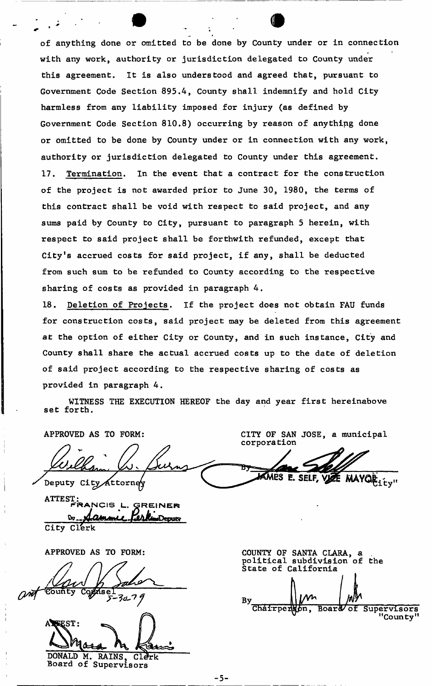of anything done or omitted to be done by County under or in connection with any work, authority or jurisdiction delegated to County under this agreement. It is also understood and agreed that, pursuant to Government Code Section 895.4, County shall indemnify and hold City harmless from any liability imposed for injury (as defined by Government Code Section 810.8) occurring by reason of anything done or omitted to be done by County under or in connection with any work, authority or jurisdiction delegated to County under this agreement. 17. **Termination. In the event that a contract for the construction of the project is not awarded prior to June** 30, 1980, **the terms of this contract shall be void with respect to said project, and any sums paid by County to City, pursuant to paragraph** 5 **herein, with respect to said project shall be forthwith refunded, except that City's accrued costs for said project, if any, shall be deducted from such sum to be refunded to County according to the respective sharing of costs as provided in paragraph 4.** 

18. Deletion of Projects. If the project does not obtain FAU funds for construction costs, said project may be deleted from this agreement at the option of either City or County, and in such instance, City and County shall share the actual accrued costs up to the date of deletion of said project according to the respective sharing of costs as provided in paragraph 4.

WITNESS THE EXECUTION HEREOF the day and year first hereinabove set forth.

APPROVED AS TO FORM:

Deputy City Attorney

CITY OF SAN JOSE, a municipal corporation

MARS E. SELF, VIZE MAYOR ...

ATTEST:<br>FRANCIS L. GREINER <u>by ...,</u> Dammir гил **City Cl'erk** 

**APPROVED AS TO FORM:** 

 $\omega$ *d* County  $30 - 79$ 

**EEST:** DONALD M. RAINS, Clerk

Board of Supervisors

COUNTY OF SANTA CLARA, a . political subdivision of the State of California By  $N'$ <br>
Chairpers<sub>pn</sub>, **Board/of Supervisors "County<sup>11</sup>**

-5-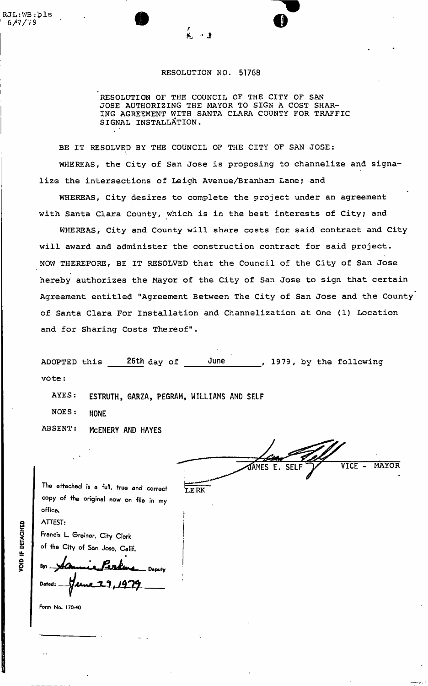## **RESOLUTION NO. 51768**

**RESOLUTION OF THE COUNCIL OF THE CITY OF SAN JOSE AUTHORIZING THE MAYOR TO SIGN A COST SHAR-ING AGREEMENT WITH SANTA CLARA COUNTY FOR TRAFFIC SIGNAL INSTALLATION.** 

**BE IT RESOLVED BY THE COUNCIL OF THE CITY OF SAN JOSE:**  i **WHEREAS, the City of San Jose is proposing to channelize and signalize the intersections of Leigh Avenue/Branham Lane; and** 

**WHEREAS, City desires to complete the project under an agreement with Santa Clara County, which is in the best interests of City; and** 

**WHEREAS, City and County will share costs for said contract and City will award and administer the construction contract for said project, NOW THEREFORE, BE IT RESOLVED that the Council of the City of San Jose hereby authorizes the Mayor of the City of San Jose to sign that certain Agreement entitled "Agreement Between The City of San Jose and the County of Santa Clara For Installation and Channelization at One (1) Location and for Sharing Costs Thereof".** 

| ADOPTED this | 26th day of | June |  |  | , 1979, by the following |  |
|--------------|-------------|------|--|--|--------------------------|--|
| vote:        |             |      |  |  |                          |  |

**AYES:** ESTRUTH, GARZA, PEGRAM, WILLIAMS AND SELF

**NOES: NONE** 

**ABSENT:** McENERY AND HAYES

VICE - **MAYOR**  JAMES E. SELF **'LERK** 

The attached is a full, true and correct copy of the original now on file in my office. ATTEST:

Francis L Greiner, City Clerk of the City of San Jose, Calif.

Byz. **Deputy** Datod:

Form No. 170-40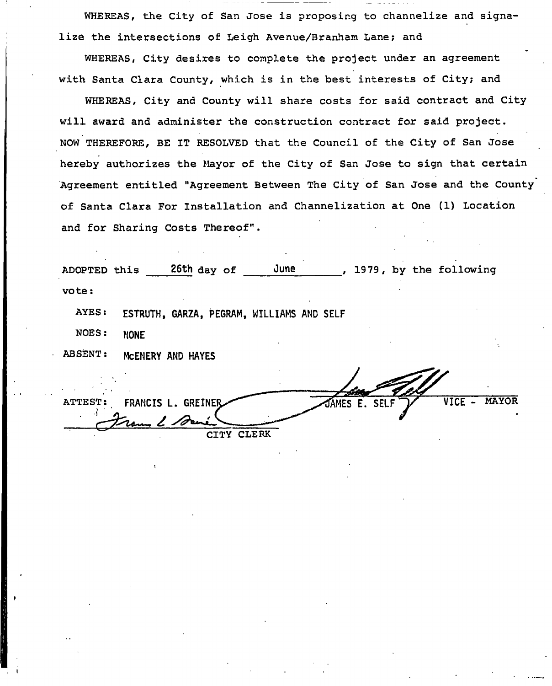WHEREAS, the City of San Jose is proposing to channelize and signalize the intersections of Leigh Avenue/Branham Lane; and

WHEREAS, City desires to complete the project under an agreement with Santa Clara County, which is in the best interests of City; and

WHEREAS, City and County will share costs for said contract and City will award and administer the construction contract for said project. NOW THEREFORE, BE IT RESOLVED that the Council of the City of San Jose hereby authorizes the Mayor of the City of San Jose to sign that certain Agreement entitled "Agreement Between The City of San Jose and the County of Santa Clara For Installation and Channelization at One (1) Location and for Sharing Costs Thereof".

| ADOPTED this   | June<br>26th day of<br>1979, by the following                                        |
|----------------|--------------------------------------------------------------------------------------|
| vote:          |                                                                                      |
| AYES:          | ESTRUTH, GARZA, PEGRAM, WILLIAMS AND SELF                                            |
| NOES:          | <b>NONE</b>                                                                          |
| <b>ABSENT:</b> | MCENERY AND HAYES                                                                    |
|                |                                                                                      |
| ATTEST:        | <b>MAYOR</b><br><b>VICE</b><br><b>GREINER</b><br><b>SELF</b><br>FRANCIS L.<br>JAMES. |

**CITY CLERK** 

Fram 2 De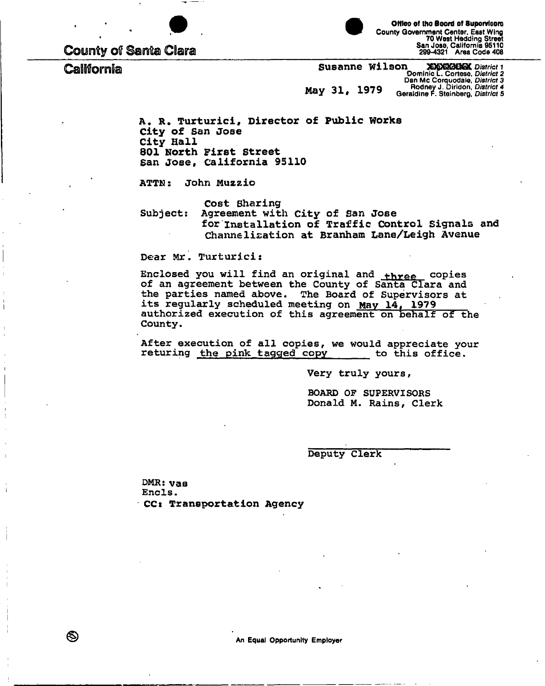

**County of Santa Clara** 

California

Office of the Board of Supervisors County Government Center, East Wing 70 West Hedding Street<br>San Jose, California 95110<br>299-4321 Area Code 408

**SIGYSKHOM District 1**<br>Dominic L. Cortese, District 2 Susanne Wilson Dan Mc Corquodale, District 3<br>Rodney J. Diridon, District 4<br>Geraldine F. Steinberg, District 5 May 31, 1979

A. R. Turturici, Director of Public Works City of San Jose City Hall 801 North First Street San Jose, California 95110

John Muzzio ATTN :

Cost Sharing

Subject: Agreement with City of San Jose for Installation of Traffic Control Signals and Channelization at Branham Lane/Leigh Avenue

Dear Mr. Turturici:

Enclosed you will find an original and three copies of an agreement between the County of Santa Clara and the parties named above. The Board of Supervisors at its regularly scheduled meeting on May 14, 1979 authorized execution of this agreement on behalf of the County.

After execution of all copies, we would appreciate your returing the pink tagged copy to this office.

Very truly yours,

**BOARD OF SUPERVISORS** Donald M. Rains, Clerk

Deputy Clerk

 $DMR: \mathbf{v}\mathbf{a}\mathbf{a}$ Encls. CC: Transportation Agency

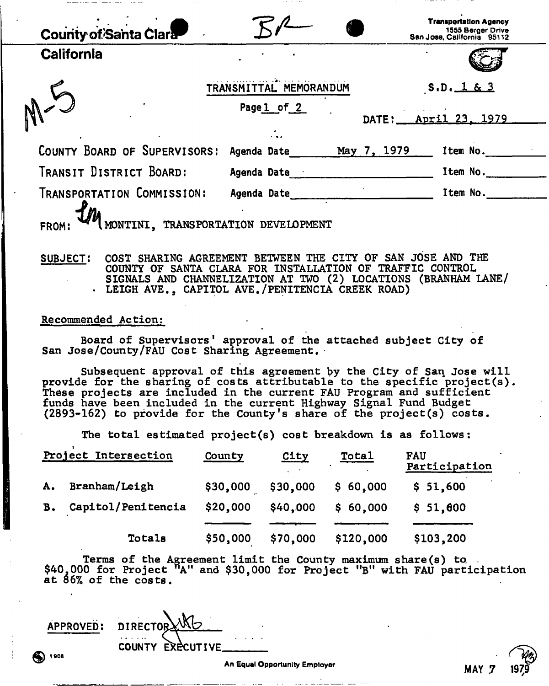| County of Santa Clara                                                      |                        |             | <b>Transportation Agency</b><br>1555 Berger Drive<br>San Jose, California 95112 |
|----------------------------------------------------------------------------|------------------------|-------------|---------------------------------------------------------------------------------|
| <b>California</b>                                                          |                        |             |                                                                                 |
|                                                                            | TRANSMITTAL MEMORANDUM |             | S.D. 1 & 3                                                                      |
|                                                                            | Pagel of 2             |             | DATE: <u>April 23, 1979</u>                                                     |
| COUNTY BOARD OF SUPERVISORS:                                               | Agenda Date            | May 7, 1979 | Item No.                                                                        |
| TRANSIT DISTRICT BOARD:                                                    | Agenda Date            |             | Item No.                                                                        |
| TRANSPORTATION COMMISSION:<br>MONTINI, TRANSPORTATION DEVELOPMENT<br>FROM: | Agenda Date            |             | Item No.                                                                        |

# SUBJECT! COST SHARING AGREEMENT BETWEEN THE CITY OF SAN JOSE AND THE COUNTY OF SANTA CLARA FOR INSTALLATION OF TRAFFIC CONTROL SIGNALS AND CHANNELIZATION AT TWO (2) LOCATIONS (BRANHAM LANE/ . LEIGH AVE., CAPITOL AVE./PENITENCIA CREEK ROAD)

#### **Recommended Action:**

Board of Supervisors' approval of the attached subject City of San Jose/County/FAU Cost Sharing Agreement.

Subsequent approval of this agreement by the City of San Jose will provide for the sharing of costs attributable to the specific project(s). These projects are included in the current FAU Program and sufficient funds have been included in the current Highway Signal Fund Budget (2893-162) to provide for the County's share of the project(s) costs.

The total estimated project(s) cost breakdown is as follows:

|           | Project Intersection | County   | <b>City</b> | Total     | <b>FAU</b><br>Participation |
|-----------|----------------------|----------|-------------|-----------|-----------------------------|
| A.        | Branham/Leigh        | \$30,000 | \$30,000    | \$60,000  | \$51,600                    |
| <b>B.</b> | Capitol/Penitencia   | \$20,000 | \$40,000    | \$60,000  | \$51,600                    |
|           | Totals               | \$50,000 | \$70,000    | \$120,000 | \$103,200                   |

Terms of the Agreement limit the County maximum share (s) to.  $$40,000$  for Project  $"A"$  and  $$30,000$  for Project "B" with FAU participation at 86% of the costs.

APPROVED: COUNTY EXECUTIVE **f 00B**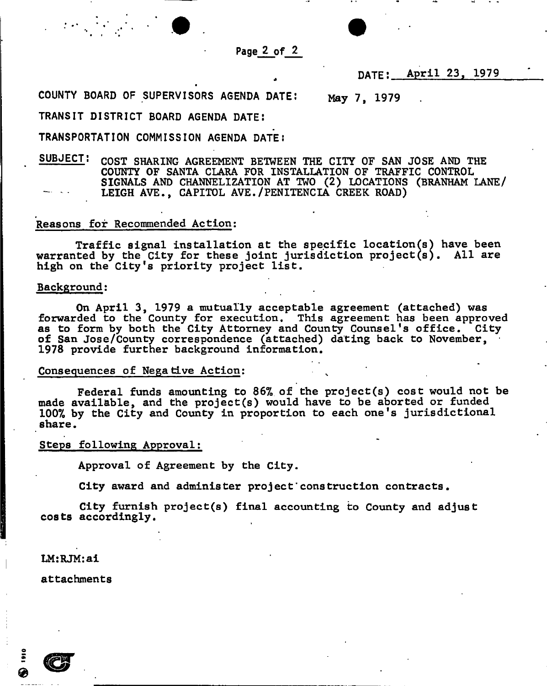

**DATE:** April 23, 1979

COUNTY BOARD OF SUPERVISORS AGENDA DATE: May 7, 1979

TRANSIT DISTRICT BOARD AGENDA DATE!

TRANSPORTATION COMMISSION AGENDA DATE **J** 

SUBJECT: CosT SHARING AGREEMENT BETWEEN THE CITY OF SAN JOSE AND THE COUNTY OF SANTA CLARA FOR INSTALLATION OF TRAFFIC CONTROL SIGNALS AND CHANNELIZATION AT TWO (2) LOCATIONS (BRANHAM LANE/ LEIGH AVE., CAPITOL AVE./PENITENCIA CREEK ROAD)

## Reasons for Recommended Action:

Traffic signal installation at the specific location(s} have been warranted by the City for these joint jurisdiction project(s). All are high on the City's priority project list.

## **Background:**

**On April** 3, 1979 **a mutually acceptable agreement (attached) was forwarded to the County for execution. This agreement has been approved as to form by both the City Attorney and County Counsel's office. City of San Jose/County correspondence (attached) dating back to November,**  1978 **provide further background information.** 

## **Consequences of Negative Action; ^**

**Federal funds amounting to** *86%* **of the project(s) cost would not be made available, and the project(s) would have to be aborted or funded**  100% **by the City and County in proportion to each one's jurisdictional share.** 

## **Steps following Approval:**

**Approval of Agreement by the City.** 

**City award and administer project"construction contracts.** 

**City furnish project(s) final accounting to County and adjust costs accordingly.** 

**LM:RJM:ai** 

**attachments**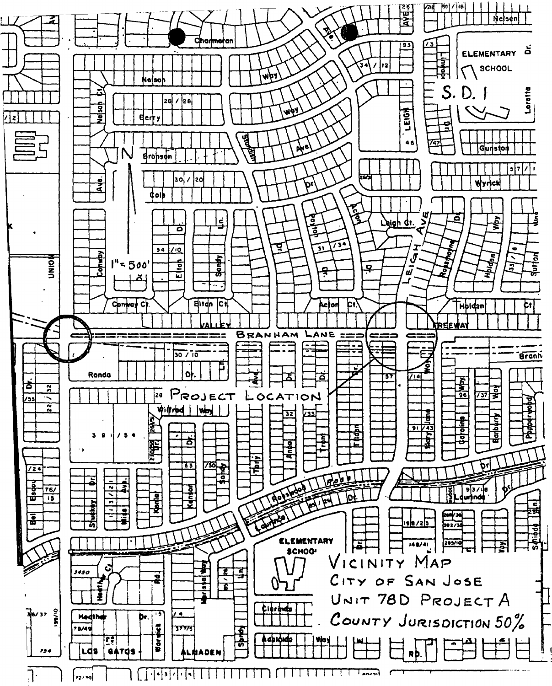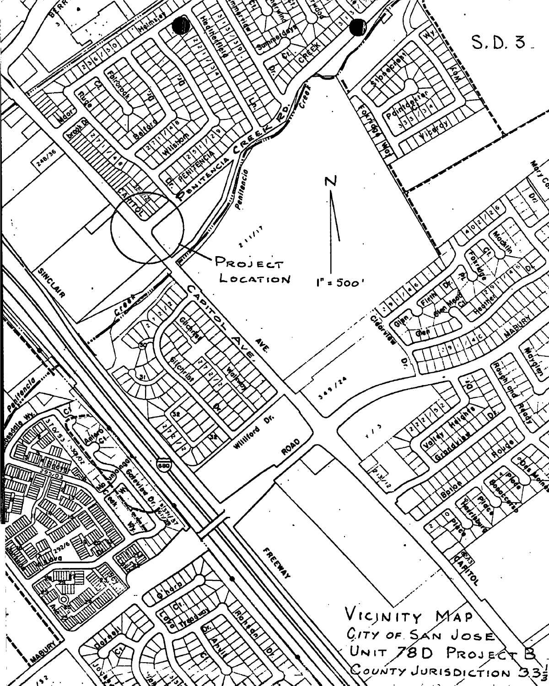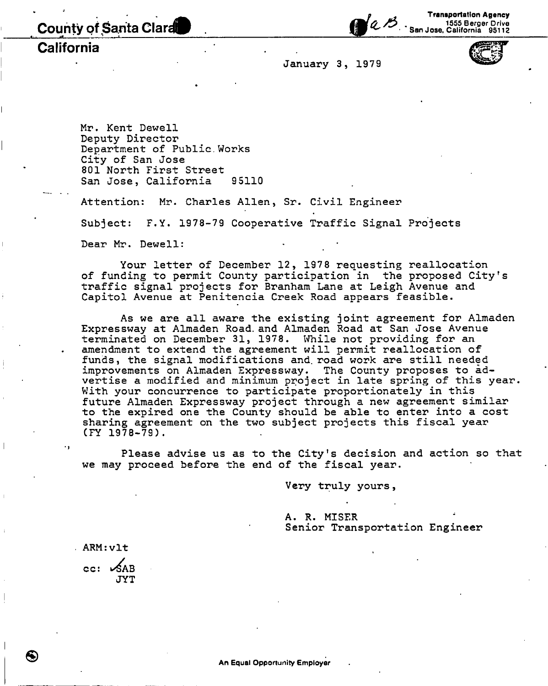County of Santa Clarat

Transportation Agency 1555 Berger Drive San Jose, California 95112

**California** 

**January 3, 1979** 

**Mr. Kent Dewell Deputy Director Department of Public.Works City of San Jose 801 North First Street**  San Jose, California 95110

**San Jose, California 95110** 

Attention: Mr. Charles Allen, Sr. Civil Engineer **Attention: Mr. Charles Allen, Sr. Civil Engineer Subject: F.Y. 1978-79 Cooperative Traffic Signal Projects**  Dear Mr. Dewell:

**Your letter of December 12, 1978 requesting reallocation of funding to permit County participation in the proposed City<sup>f</sup>s traffic signal projects for Branham Lane at Leigh Avenue and Capitol Avenue at Penitencia Creek Road appears feasible.** 

**As we are all aware the existing joint agreement for Almaden Expressway at Almaden Road, and Almaden Road at San Jose Avenue**  terminated on December 31, 1978. While not providing for an **amendment to extend the agreement will permit reallocation of funds, the signal modifications and. road work are still needed improvements on Almaden Expressway. The County proposes to advertise a modified and minimum project in late spring of this year. With your concurrence to participate proportionately in this future Almaden Expressway project through a new agreement similar to the expired one the County should be able to enter into a cost sharing agreement on the two subject projects this fiscal year (FY 1978-79).** 

**Please advise us as to the City<sup>1</sup>s decision and action so that we may proceed before the end of the fiscal year.** 

**Very truly yours,** 

**A. R. MISER Senior Transportation Engineer** 

**ARM:vlt** 

cc: SAB **JYT**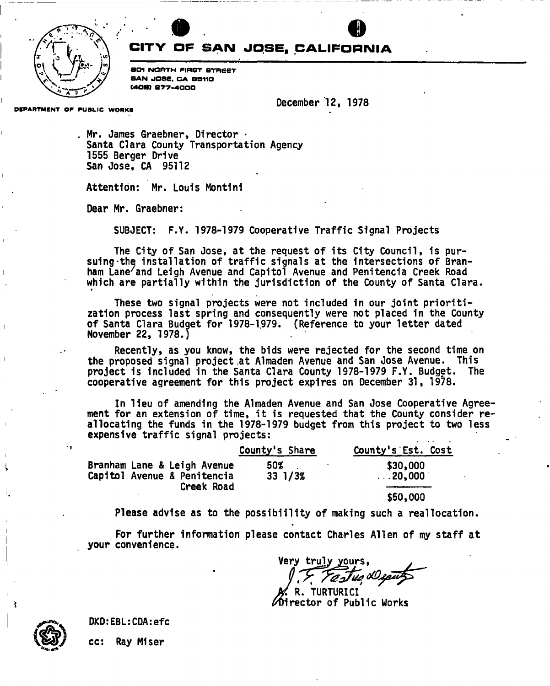

# **CITY OF SAN JOSE. CALIFORNIA**

«

 $\bullet$  0

10I 1 7 iv>i *L\ S<sup>J</sup> <sup>r</sup> L I* SOI NORTH FIRST STREET \c\ // SAN JOSE. CA SSTIO MOB} S77-4000

December 12, 1978

DEPARTMENT OF PUBLIC WORKS

Mr. James Graebner, Director • Santa Clara County Transportation Agency 1555 Berger Drive San Jose, CA 95112

Attention: Mr. Louis Montini

Dear Mr. Graebner:

SUBJECT: F.Y. 1978-1979 Cooperative Traffic Signal Projects

The City of San Jose, at the request of its City Council, 1s pursuing -the installation of traffic signals at the intersections of Branham Lane'and Leigh Avenue and Capitol Avenue and Penitencia Creek Road which are partially within the jurisdiction of the County of Santa Clara.

These two signal projects were not included in our joint prioritization process last spring and consequently were not placed in the County of Santa Clara Budget for 1978-1979. (Reference to your letter dated November 22, 1978.)

Recently, as you know, the bids were rejected for the second time on the proposed signal project .at Almaden Avenue and San Jose Avenue. This project is included in the Santa Clara County 1978-1979 F.Y. Budget. The cooperative agreement for this project expires on December 31, 1978.

In lieu of amending the Almaden Avenue and San Jose Cooperative Agreement for an extension of time, it is requested that the County consider reallocating the funds in the 1978-1979 budget from this project to two less expensive traffic signal projects:

|                                           | County's Share     | County's Est. Cost |
|-------------------------------------------|--------------------|--------------------|
| Branham Lane & Leigh Avenue               | 50%                | \$30,000           |
| Capitol Avenue & Penitencia<br>Creek Road | $33 \frac{1}{3}\%$ | $\ldots$ 20,000    |
|                                           |                    | \$50,000           |

Please advise as to the possib1111ty of making such a reallocation.

For further information please contact Charles Allen of *my* staff at your convenience.

Very trulv yours, astus XI

TURTURICI  $\ell$ Oirector of Public Works

š

DKD:EBL:CDA:efc

cc: Ray Miser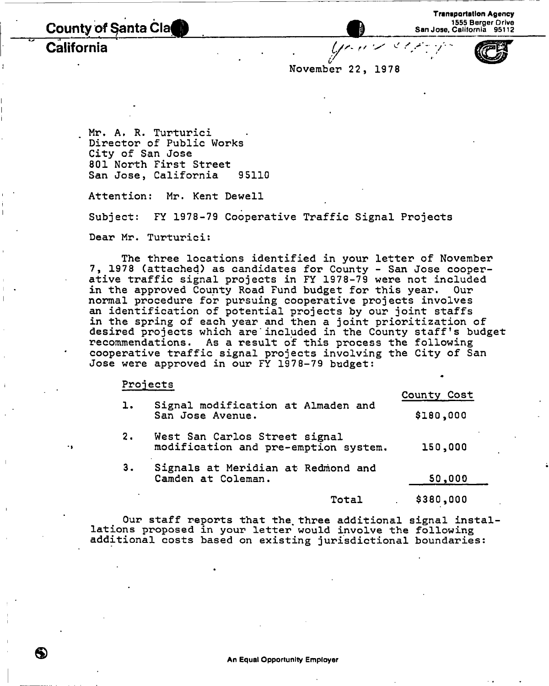County of Santa Cla California

**November 22, 19 78** 

 $y \sim \infty$ 

**Mr. A• R. Turturici Director of Public Works City of San Jose 801 North First Street San Jose, California 95110** 

**Attention: Mr. Kent Dewell** 

**Subject: FY 1978-79 Cooperative Traffic Signal Projects** 

**Dear Mr. Turturici:** 

**The three locations identified in your letter of November 7, 1978 (attached) as candidates for County - San Jose cooperative traffic signal projects in FY 1978-79 were not included**  in the approved County Road Fund budget for this year. **normal procedure for pursuing cooperative projects involves an identification of potential projects by our joint staffs in the spring of each year and then a joint prioritization of desired projects which are"included in the County staff's budget recommendations. As a result of this process the following cooperative traffic signal projects involving the City of San Jose were approved in our FY 1978-79 budget:** 

#### **Projects**

|                |                                                                       | County Cost |
|----------------|-----------------------------------------------------------------------|-------------|
| $\mathbf{1}$ . | Signal modification at Almaden and<br>San Jose Avenue.                | \$180,000   |
| 2.             | West San Carlos Street signal<br>modification and pre-emption system. | 150,000     |
| 3.             | Signals at Meridian at Redmond and<br>Camden at Coleman.              | 50,000      |
|                | Total                                                                 | \$380,000   |

**Our staff reports that the. three additional signal instal**lations proposed in your letter would involve the following **additional costs based on existing jurisdictional boundaries:**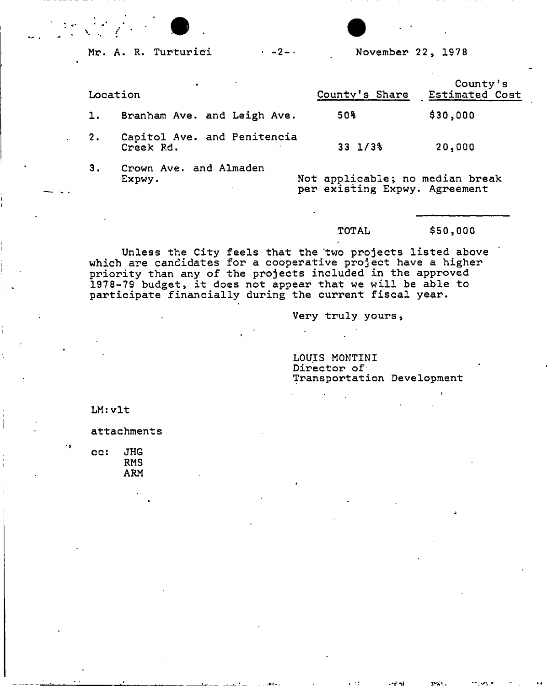**Mr. A. R. Turturici** <sup>2</sup> - • **November 22, 1978** 

|    | Location                                 | County's Share                                                   | County's<br>Estimated Cost |
|----|------------------------------------------|------------------------------------------------------------------|----------------------------|
| ı. | Branham Ave. and Leigh Ave.              | 50%                                                              | \$30,000                   |
| 2. | Capitol Ave. and Penitencia<br>Creek Rd. | $33 \frac{1}{38}$                                                | 20,000                     |
| З. | Crown Ave. and Almaden<br>Expwy.         | Not applicable; no median break<br>per existing Expwy. Agreement |                            |

## **TOTAL \$50,000**

**Unless the City feels that the two projects listed above which are candidates for a cooperative project have a higher priority than any of the projects included in the approved 1978-79 budget, it does not appear that we will be able to participate financially during the current fiscal year.** 

**Very truly yours,** 

**LOUIS MONTINI**  Director of **Transportation Development** 

**LM:vlt** 

٠,

**attachments** 

**cc: JHG RMS ARM**